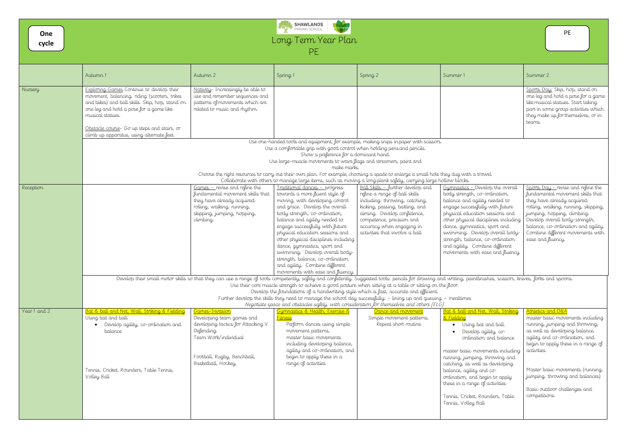| One<br>cycle | SHAWLANDS<br>PRIMARY SCHOOL<br><b>PE</b><br>Long Term Year Plan<br><b>PE</b>                                                                                                                                                                                                                                    |                                                                                                                                                                                                              |                                                                                                                                                                                                                                                                                                                                                                                                                                                                                                   |                                                                                                                                                                                                                                                                    |                                                                                                                                                                                                                                                                                                                                                                                               |                                                                                                                                                                                                                                                                                                                |  |  |  |  |  |
|--------------|-----------------------------------------------------------------------------------------------------------------------------------------------------------------------------------------------------------------------------------------------------------------------------------------------------------------|--------------------------------------------------------------------------------------------------------------------------------------------------------------------------------------------------------------|---------------------------------------------------------------------------------------------------------------------------------------------------------------------------------------------------------------------------------------------------------------------------------------------------------------------------------------------------------------------------------------------------------------------------------------------------------------------------------------------------|--------------------------------------------------------------------------------------------------------------------------------------------------------------------------------------------------------------------------------------------------------------------|-----------------------------------------------------------------------------------------------------------------------------------------------------------------------------------------------------------------------------------------------------------------------------------------------------------------------------------------------------------------------------------------------|----------------------------------------------------------------------------------------------------------------------------------------------------------------------------------------------------------------------------------------------------------------------------------------------------------------|--|--|--|--|--|
|              | Autumn 1                                                                                                                                                                                                                                                                                                        | Autumn 2                                                                                                                                                                                                     | Spring 1                                                                                                                                                                                                                                                                                                                                                                                                                                                                                          | Spring 2                                                                                                                                                                                                                                                           | Summer 1                                                                                                                                                                                                                                                                                                                                                                                      | Summer 2                                                                                                                                                                                                                                                                                                       |  |  |  |  |  |
| Nursery      | <b>Exploring Games</b> Continue to develop their<br>movement, balancing, riding (scooters, trikes<br>and bikes) and ball skills. Skip, hop, stand on<br>one leg and hold a pose for a game like<br>musical statues.<br>Obstacle course- Go up steps and stairs, or<br>climb up apparatus, using alternate feet. | Nativity-Increasingly be able to<br>use and remember sequences and<br>patterns of movements which are<br>related to music and rhythm.                                                                        |                                                                                                                                                                                                                                                                                                                                                                                                                                                                                                   |                                                                                                                                                                                                                                                                    |                                                                                                                                                                                                                                                                                                                                                                                               | Sports Day: Skip, hop, stand on<br>one leg and hold a pose for a game<br>like musical statues. Start taking.<br>part in some group activities which<br>they make up for themselves, or in<br>teams.                                                                                                            |  |  |  |  |  |
|              |                                                                                                                                                                                                                                                                                                                 |                                                                                                                                                                                                              | Use one-handed tools and equipment, for example, making snips in paper with scissors.                                                                                                                                                                                                                                                                                                                                                                                                             |                                                                                                                                                                                                                                                                    |                                                                                                                                                                                                                                                                                                                                                                                               |                                                                                                                                                                                                                                                                                                                |  |  |  |  |  |
|              | Use a comfortable grip with good control when holding pens and pencils.<br>Show a preference for a dominant hand.                                                                                                                                                                                               |                                                                                                                                                                                                              |                                                                                                                                                                                                                                                                                                                                                                                                                                                                                                   |                                                                                                                                                                                                                                                                    |                                                                                                                                                                                                                                                                                                                                                                                               |                                                                                                                                                                                                                                                                                                                |  |  |  |  |  |
|              |                                                                                                                                                                                                                                                                                                                 |                                                                                                                                                                                                              | Use large-muscle movements to wave flags and streamers, paint and                                                                                                                                                                                                                                                                                                                                                                                                                                 |                                                                                                                                                                                                                                                                    |                                                                                                                                                                                                                                                                                                                                                                                               |                                                                                                                                                                                                                                                                                                                |  |  |  |  |  |
|              | make marks.<br>Choose the right resources to carry out their own plan. For example, choosing a spade to enlarge a small hole they dug with a trowel.                                                                                                                                                            |                                                                                                                                                                                                              |                                                                                                                                                                                                                                                                                                                                                                                                                                                                                                   |                                                                                                                                                                                                                                                                    |                                                                                                                                                                                                                                                                                                                                                                                               |                                                                                                                                                                                                                                                                                                                |  |  |  |  |  |
|              |                                                                                                                                                                                                                                                                                                                 |                                                                                                                                                                                                              | Collaborate with others to manage large items, such as moving a long plank safely, carrying large hollow blocks.                                                                                                                                                                                                                                                                                                                                                                                  |                                                                                                                                                                                                                                                                    |                                                                                                                                                                                                                                                                                                                                                                                               |                                                                                                                                                                                                                                                                                                                |  |  |  |  |  |
| Reception    |                                                                                                                                                                                                                                                                                                                 | $Games$ – revise and refine the<br>fundamental movement skills that<br>they have already acquired:<br>rolling, walking, running,<br>skipping, jumping, hopping,<br>climbing.                                 | Traditional dances - progress<br>towards a more fluent style of<br>moving, with developing control<br>and grace. Develop the overall<br>body strength, co-ordination,<br>balance and agility needed to<br>engage successfully with future<br>physical education sessions and<br>other physical disciplines including<br>dance, gymnastics, sport and<br>swimming. Develop overall body-<br>strength, balance, co-ordination<br>and agility. Combine different<br>movements with ease and fluency. | Ball Skills - further develop and<br>refine a range of ball skills<br>including: throwing, catching,<br>kicking, passing, batting, and<br>aiming. Develop confidence,<br>competence, precision and<br>accuracy when engaging in<br>activities that involve a ball. | Gumnastics - Develop the overall<br>body strength, co-ordination,<br>balance and agility needed to<br>engage successfully with future<br>physical education sessions and<br>other physical disciplines including<br>dance, gymnastics, sport and<br>swimming. Develop overall body-<br>strength, balance, co-ordination<br>and agility. Combine different<br>movements with ease and fluency. | Sports Day - revise and refine the<br>fundamental movement skills that<br>they have already acquired:<br>rolling, walking, running, skipping,<br>jumping, hopping, climbing.<br>Develop overall body-strength,<br>balance, co-ordination and agility.<br>Combine different movements with<br>ease and fluency. |  |  |  |  |  |
|              | Develop their small motor skills so that they can use a range of tools competently, safely and confidently. Suggested tools: pencils for drawing and writing, paintbrushes, scissors, knives, forks and spoons.                                                                                                 |                                                                                                                                                                                                              |                                                                                                                                                                                                                                                                                                                                                                                                                                                                                                   |                                                                                                                                                                                                                                                                    |                                                                                                                                                                                                                                                                                                                                                                                               |                                                                                                                                                                                                                                                                                                                |  |  |  |  |  |
|              | Use their core muscle strength to achieve a good posture when sitting at a table or sitting on the floor.<br>Develop the foundations of a handwriting style which is fast, accurate and efficient.                                                                                                              |                                                                                                                                                                                                              |                                                                                                                                                                                                                                                                                                                                                                                                                                                                                                   |                                                                                                                                                                                                                                                                    |                                                                                                                                                                                                                                                                                                                                                                                               |                                                                                                                                                                                                                                                                                                                |  |  |  |  |  |
|              |                                                                                                                                                                                                                                                                                                                 | Further develop the skills they need to manage the school day successfully: - lining up and queuing - mealtimes<br>Negotiate space and obstacles safely, with consideration for themselves and others [ELG]. |                                                                                                                                                                                                                                                                                                                                                                                                                                                                                                   |                                                                                                                                                                                                                                                                    |                                                                                                                                                                                                                                                                                                                                                                                               |                                                                                                                                                                                                                                                                                                                |  |  |  |  |  |
| Year 1 and 2 | Bat & ball and Net, Wall, Striking & Fielding                                                                                                                                                                                                                                                                   | <u> Games-Invasion</u>                                                                                                                                                                                       | Gymnastics & Health, Exercise &                                                                                                                                                                                                                                                                                                                                                                                                                                                                   | Dance and movement                                                                                                                                                                                                                                                 | Bat & ball and Net, Wall, Striking                                                                                                                                                                                                                                                                                                                                                            | Athletics and O&A                                                                                                                                                                                                                                                                                              |  |  |  |  |  |
|              | Using bat and ball.<br>Develop agility, co-ordination and<br>balance                                                                                                                                                                                                                                            | Developing team games and<br>developing tactics for Attacking V<br>Defending.<br>Team Work/individual<br>Football, Rugby, Benchball,<br>Basketball, Hockey,                                                  | Fitness<br>Perform dances using simple<br>movement patterns.<br>master basic movements<br>including developing balance,<br>agility and co-ordination, and<br>begin to apply these in a<br>range of activities                                                                                                                                                                                                                                                                                     | Simple movement patterns.<br>Repeat short routine                                                                                                                                                                                                                  | <u>&amp; Fielding</u><br>• Using bat and ball.<br>Develop agility, co-<br>ordination and balance<br>master basic movements including<br>running, jumping, throwing and<br>catching, as well as developing                                                                                                                                                                                     | master basic movements including<br>running, jumping and throwing,<br>as well as developing balance,<br>agility and co-ordination, and<br>begin to apply these in a range of<br>activities                                                                                                                     |  |  |  |  |  |
|              | Tennis, Cricket, Rounders, Table Tennis,<br>Volley Ball                                                                                                                                                                                                                                                         |                                                                                                                                                                                                              |                                                                                                                                                                                                                                                                                                                                                                                                                                                                                                   |                                                                                                                                                                                                                                                                    | balance, agility and co-<br>ordination, and begin to apply<br>these in a range of activities<br>Tennis, Cricket, Rounders, Table<br>Tennis, Volley Ball                                                                                                                                                                                                                                       | Master basic movements (running,<br>jumping, throwing and balances)<br>Basic outdoor challenges and<br>competitions                                                                                                                                                                                            |  |  |  |  |  |